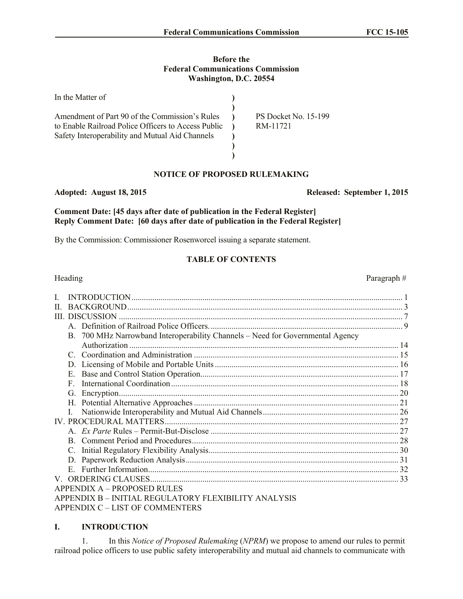#### **Before the Federal Communications Commission Washington, D.C. 20554**

| In the Matter of                                                                                                                                         |                                         |
|----------------------------------------------------------------------------------------------------------------------------------------------------------|-----------------------------------------|
| Amendment of Part 90 of the Commission's Rules<br>to Enable Railroad Police Officers to Access Public<br>Safety Interoperability and Mutual Aid Channels | <b>PS Docket No. 15-199</b><br>RM-11721 |
|                                                                                                                                                          |                                         |

# **NOTICE OF PROPOSED RULEMAKING**

#### **Adopted: August 18, 2015 Released: September 1, 2015**

**Comment Date: [45 days after date of publication in the Federal Register] Reply Comment Date: [60 days after date of publication in the Federal Register]**

By the Commission: Commissioner Rosenworcel issuing a separate statement.

#### **TABLE OF CONTENTS**

| Heading |                                                                                | Paragraph# |
|---------|--------------------------------------------------------------------------------|------------|
|         |                                                                                |            |
| H.      |                                                                                |            |
|         |                                                                                |            |
|         |                                                                                |            |
|         | B. 700 MHz Narrowband Interoperability Channels - Need for Governmental Agency |            |
|         |                                                                                |            |
|         |                                                                                |            |
|         |                                                                                |            |
|         | E                                                                              |            |
|         | F                                                                              |            |
|         | G.                                                                             |            |
|         |                                                                                |            |
|         |                                                                                |            |
|         |                                                                                |            |
|         |                                                                                |            |
|         |                                                                                |            |
|         |                                                                                |            |
|         |                                                                                |            |
|         | $\mathbf{E}$                                                                   |            |
|         |                                                                                |            |
|         | <b>APPENDIX A - PROPOSED RULES</b>                                             |            |
|         | APPENDIX B - INITIAL REGULATORY FLEXIBILITY ANALYSIS                           |            |
|         | APPENDIX C - LIST OF COMMENTERS                                                |            |

# **I. INTRODUCTION**

1. In this *Notice of Proposed Rulemaking* (*NPRM*) we propose to amend our rules to permit railroad police officers to use public safety interoperability and mutual aid channels to communicate with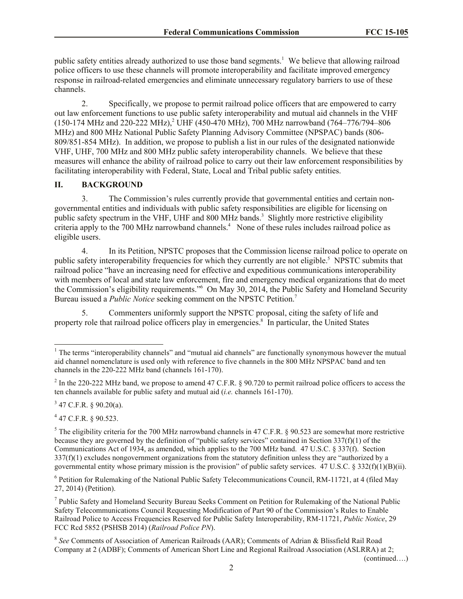public safety entities already authorized to use those band segments.<sup>1</sup> We believe that allowing railroad police officers to use these channels will promote interoperability and facilitate improved emergency response in railroad-related emergencies and eliminate unnecessary regulatory barriers to use of these channels.

2. Specifically, we propose to permit railroad police officers that are empowered to carry out law enforcement functions to use public safety interoperability and mutual aid channels in the VHF  $(150-174 \text{ MHz and } 220-222 \text{ MHz})$ ,  $^2$  UHF  $(450-470 \text{ MHz})$ , 700 MHz narrowband  $(764-776/794-806 \text{ MHz})$ MHz) and 800 MHz National Public Safety Planning Advisory Committee (NPSPAC) bands (806- 809/851-854 MHz). In addition, we propose to publish a list in our rules of the designated nationwide VHF, UHF, 700 MHz and 800 MHz public safety interoperability channels. We believe that these measures will enhance the ability of railroad police to carry out their law enforcement responsibilities by facilitating interoperability with Federal, State, Local and Tribal public safety entities.

# **II. BACKGROUND**

3. The Commission's rules currently provide that governmental entities and certain nongovernmental entities and individuals with public safety responsibilities are eligible for licensing on public safety spectrum in the VHF, UHF and 800 MHz bands.<sup>3</sup> Slightly more restrictive eligibility criteria apply to the 700 MHz narrowband channels.<sup>4</sup> None of these rules includes railroad police as eligible users.

4. In its Petition, NPSTC proposes that the Commission license railroad police to operate on public safety interoperability frequencies for which they currently are not eligible.<sup>5</sup> NPSTC submits that railroad police "have an increasing need for effective and expeditious communications interoperability with members of local and state law enforcement, fire and emergency medical organizations that do meet the Commission's eligibility requirements."<sup>6</sup> On May 30, 2014, the Public Safety and Homeland Security Bureau issued a *Public Notice* seeking comment on the NPSTC Petition.<sup>7</sup>

5. Commenters uniformly support the NPSTC proposal, citing the safety of life and property role that railroad police officers play in emergencies.<sup>8</sup> In particular, the United States

 $3$  47 C.F.R. § 90.20(a).

4 47 C.F.R. § 90.523.

 $\overline{a}$ 

 $5$  The eligibility criteria for the 700 MHz narrowband channels in 47 C.F.R. § 90.523 are somewhat more restrictive because they are governed by the definition of "public safety services" contained in Section 337(f)(1) of the Communications Act of 1934, as amended, which applies to the 700 MHz band. 47 U.S.C. § 337(f). Section 337(f)(1) excludes nongovernment organizations from the statutory definition unless they are "authorized by a governmental entity whose primary mission is the provision" of public safety services.  $47 \text{ U.S.C.} \text{ } \text{\$} 332(f)(1)(B)(ii)$ .

<sup>6</sup> Petition for Rulemaking of the National Public Safety Telecommunications Council, RM-11721, at 4 (filed May 27, 2014) (Petition).

<sup>7</sup> Public Safety and Homeland Security Bureau Seeks Comment on Petition for Rulemaking of the National Public Safety Telecommunications Council Requesting Modification of Part 90 of the Commission's Rules to Enable Railroad Police to Access Frequencies Reserved for Public Safety Interoperability, RM-11721, *Public Notice*, 29 FCC Rcd 5852 (PSHSB 2014) (*Railroad Police PN*).

(continued….)

<sup>&</sup>lt;sup>1</sup> The terms "interoperability channels" and "mutual aid channels" are functionally synonymous however the mutual aid channel nomenclature is used only with reference to five channels in the 800 MHz NPSPAC band and ten channels in the 220-222 MHz band (channels 161-170).

<sup>&</sup>lt;sup>2</sup> In the 220-222 MHz band, we propose to amend 47 C.F.R. § 90.720 to permit railroad police officers to access the ten channels available for public safety and mutual aid (*i.e.* channels 161-170).

<sup>&</sup>lt;sup>8</sup> See Comments of Association of American Railroads (AAR); Comments of Adrian & Blissfield Rail Road Company at 2 (ADBF); Comments of American Short Line and Regional Railroad Association (ASLRRA) at 2;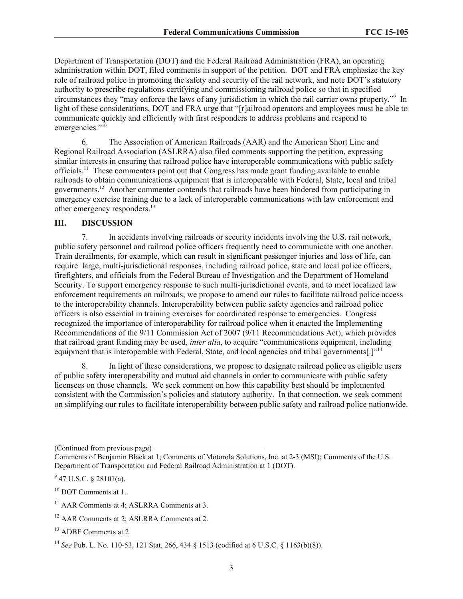Department of Transportation (DOT) and the Federal Railroad Administration (FRA), an operating administration within DOT, filed comments in support of the petition. DOT and FRA emphasize the key role of railroad police in promoting the safety and security of the rail network, and note DOT's statutory authority to prescribe regulations certifying and commissioning railroad police so that in specified circumstances they "may enforce the laws of any jurisdiction in which the rail carrier owns property." 9 In light of these considerations, DOT and FRA urge that "[r]ailroad operators and employees must be able to communicate quickly and efficiently with first responders to address problems and respond to emergencies."<sup>10</sup>

6. The Association of American Railroads (AAR) and the American Short Line and Regional Railroad Association (ASLRRA) also filed comments supporting the petition, expressing similar interests in ensuring that railroad police have interoperable communications with public safety officials.<sup>11</sup> These commenters point out that Congress has made grant funding available to enable railroads to obtain communications equipment that is interoperable with Federal, State, local and tribal governments.<sup>12</sup> Another commenter contends that railroads have been hindered from participating in emergency exercise training due to a lack of interoperable communications with law enforcement and other emergency responders.<sup>13</sup>

# **III. DISCUSSION**

7. In accidents involving railroads or security incidents involving the U.S. rail network, public safety personnel and railroad police officers frequently need to communicate with one another. Train derailments, for example, which can result in significant passenger injuries and loss of life, can require large, multi-jurisdictional responses, including railroad police, state and local police officers, firefighters, and officials from the Federal Bureau of Investigation and the Department of Homeland Security. To support emergency response to such multi-jurisdictional events, and to meet localized law enforcement requirements on railroads, we propose to amend our rules to facilitate railroad police access to the interoperability channels. Interoperability between public safety agencies and railroad police officers is also essential in training exercises for coordinated response to emergencies. Congress recognized the importance of interoperability for railroad police when it enacted the Implementing Recommendations of the 9/11 Commission Act of 2007 (9/11 Recommendations Act), which provides that railroad grant funding may be used, *inter alia*, to acquire "communications equipment, including equipment that is interoperable with Federal, State, and local agencies and tribal governments[.]"<sup>14</sup>

8. In light of these considerations, we propose to designate railroad police as eligible users of public safety interoperability and mutual aid channels in order to communicate with public safety licensees on those channels. We seek comment on how this capability best should be implemented consistent with the Commission's policies and statutory authority. In that connection, we seek comment on simplifying our rules to facilitate interoperability between public safety and railroad police nationwide.

(Continued from previous page)

 $9$  47 U.S.C. § 28101(a).

<sup>10</sup> DOT Comments at 1.

Comments of Benjamin Black at 1; Comments of Motorola Solutions, Inc. at 2-3 (MSI); Comments of the U.S. Department of Transportation and Federal Railroad Administration at 1 (DOT).

 $11$  AAR Comments at 4: ASLRRA Comments at 3.

<sup>&</sup>lt;sup>12</sup> AAR Comments at 2; ASLRRA Comments at 2.

<sup>&</sup>lt;sup>13</sup> ADBF Comments at 2.

<sup>14</sup> *See* Pub. L. No. 110-53, 121 Stat. 266, 434 § 1513 (codified at 6 U.S.C. § 1163(b)(8)).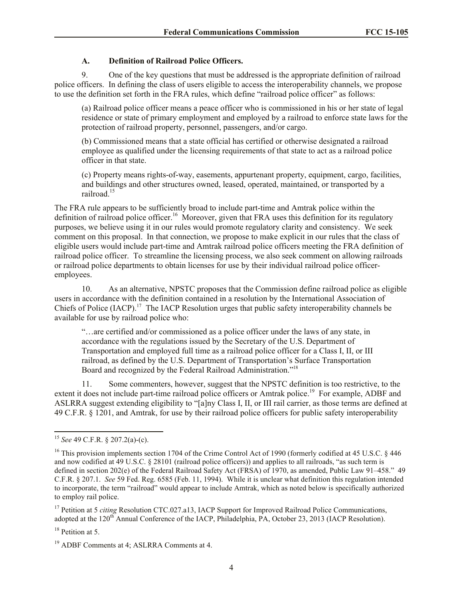# **A. Definition of Railroad Police Officers.**

9. One of the key questions that must be addressed is the appropriate definition of railroad police officers. In defining the class of users eligible to access the interoperability channels, we propose to use the definition set forth in the FRA rules, which define "railroad police officer" as follows:

(a) Railroad police officer means a peace officer who is commissioned in his or her state of legal residence or state of primary employment and employed by a railroad to enforce state laws for the protection of railroad property, personnel, passengers, and/or cargo.

(b) Commissioned means that a state official has certified or otherwise designated a railroad employee as qualified under the licensing requirements of that state to act as a railroad police officer in that state.

(c) Property means rights-of-way, easements, appurtenant property, equipment, cargo, facilities, and buildings and other structures owned, leased, operated, maintained, or transported by a railroad.<sup>15</sup>

The FRA rule appears to be sufficiently broad to include part-time and Amtrak police within the definition of railroad police officer.<sup>16</sup> Moreover, given that FRA uses this definition for its regulatory purposes, we believe using it in our rules would promote regulatory clarity and consistency. We seek comment on this proposal. In that connection, we propose to make explicit in our rules that the class of eligible users would include part-time and Amtrak railroad police officers meeting the FRA definition of railroad police officer. To streamline the licensing process, we also seek comment on allowing railroads or railroad police departments to obtain licenses for use by their individual railroad police officeremployees.

10. As an alternative, NPSTC proposes that the Commission define railroad police as eligible users in accordance with the definition contained in a resolution by the International Association of Chiefs of Police (IACP).<sup>17</sup> The IACP Resolution urges that public safety interoperability channels be available for use by railroad police who:

"…are certified and/or commissioned as a police officer under the laws of any state, in accordance with the regulations issued by the Secretary of the U.S. Department of Transportation and employed full time as a railroad police officer for a Class I, II, or III railroad, as defined by the U.S. Department of Transportation's Surface Transportation Board and recognized by the Federal Railroad Administration."<sup>18</sup>

11. Some commenters, however, suggest that the NPSTC definition is too restrictive, to the extent it does not include part-time railroad police officers or Amtrak police.<sup>19</sup> For example, ADBF and ASLRRA suggest extending eligibility to "[a]ny Class I, II, or III rail carrier, as those terms are defined at 49 C.F.R. § 1201, and Amtrak, for use by their railroad police officers for public safety interoperability

<sup>17</sup> Petition at 5 *citing* Resolution CTC.027.a13, IACP Support for Improved Railroad Police Communications, adopted at the 120<sup>th</sup> Annual Conference of the IACP, Philadelphia, PA, October 23, 2013 (IACP Resolution).

<sup>18</sup> Petition at 5.

l <sup>15</sup> *See* 49 C.F.R. § 207.2(a)-(c).

<sup>&</sup>lt;sup>16</sup> This provision implements section 1704 of the Crime Control Act of 1990 (formerly codified at 45 U.S.C. § 446 and now codified at 49 U.S.C. § 28101 (railroad police officers)) and applies to all railroads, "as such term is defined in section 202(e) of the Federal Railroad Safety Act (FRSA) of 1970, as amended, Public Law 91–458." 49 C.F.R. § 207.1. *See* 59 Fed. Reg. 6585 (Feb. 11, 1994). While it is unclear what definition this regulation intended to incorporate, the term "railroad" would appear to include Amtrak, which as noted below is specifically authorized to employ rail police.

<sup>19</sup> ADBF Comments at 4; ASLRRA Comments at 4.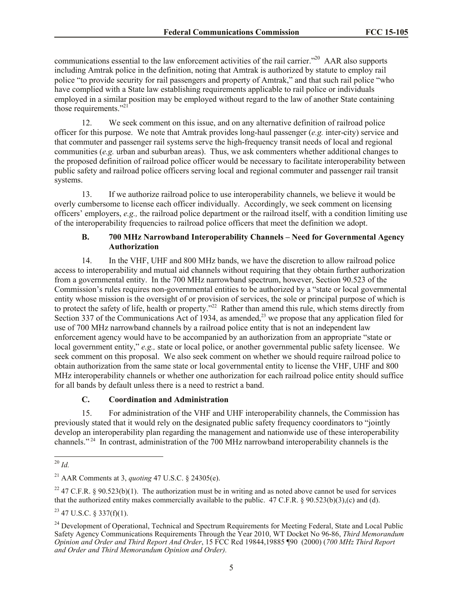communications essential to the law enforcement activities of the rail carrier."<sup>20</sup> AAR also supports including Amtrak police in the definition, noting that Amtrak is authorized by statute to employ rail police "to provide security for rail passengers and property of Amtrak," and that such rail police "who have complied with a State law establishing requirements applicable to rail police or individuals employed in a similar position may be employed without regard to the law of another State containing those requirements."<sup>21</sup>

12. We seek comment on this issue, and on any alternative definition of railroad police officer for this purpose. We note that Amtrak provides long-haul passenger (*e.g.* inter-city) service and that commuter and passenger rail systems serve the high-frequency transit needs of local and regional communities (*e.g.* urban and suburban areas). Thus, we ask commenters whether additional changes to the proposed definition of railroad police officer would be necessary to facilitate interoperability between public safety and railroad police officers serving local and regional commuter and passenger rail transit systems.

13. If we authorize railroad police to use interoperability channels, we believe it would be overly cumbersome to license each officer individually. Accordingly, we seek comment on licensing officers' employers, *e.g.,* the railroad police department or the railroad itself, with a condition limiting use of the interoperability frequencies to railroad police officers that meet the definition we adopt.

# **B. 700 MHz Narrowband Interoperability Channels – Need for Governmental Agency Authorization**

14. In the VHF, UHF and 800 MHz bands, we have the discretion to allow railroad police access to interoperability and mutual aid channels without requiring that they obtain further authorization from a governmental entity. In the 700 MHz narrowband spectrum, however, Section 90.523 of the Commission's rules requires non-governmental entities to be authorized by a "state or local governmental entity whose mission is the oversight of or provision of services, the sole or principal purpose of which is to protect the safety of life, health or property."<sup>22</sup> Rather than amend this rule, which stems directly from Section 337 of the Communications Act of 1934, as amended,<sup>23</sup> we propose that any application filed for use of 700 MHz narrowband channels by a railroad police entity that is not an independent law enforcement agency would have to be accompanied by an authorization from an appropriate "state or local government entity," *e.g.*, state or local police, or another governmental public safety licensee. We seek comment on this proposal. We also seek comment on whether we should require railroad police to obtain authorization from the same state or local governmental entity to license the VHF, UHF and 800 MHz interoperability channels or whether one authorization for each railroad police entity should suffice for all bands by default unless there is a need to restrict a band.

# **C. Coordination and Administration**

15. For administration of the VHF and UHF interoperability channels, the Commission has previously stated that it would rely on the designated public safety frequency coordinators to "jointly develop an interoperability plan regarding the management and nationwide use of these interoperability channels."<sup>24</sup> In contrast, administration of the 700 MHz narrowband interoperability channels is the

<sup>22</sup> 47 C.F.R. § 90.523(b)(1). The authorization must be in writing and as noted above cannot be used for services that the authorized entity makes commercially available to the public. 47 C.F.R. § 90.523(b)(3),(c) and (d).

 $^{23}$  47 U.S.C. § 337(f)(1).

l <sup>20</sup> *Id.* 

<sup>21</sup> AAR Comments at 3, *quoting* 47 U.S.C. § 24305(e).

<sup>&</sup>lt;sup>24</sup> Development of Operational, Technical and Spectrum Requirements for Meeting Federal, State and Local Public Safety Agency Communications Requirements Through the Year 2010, WT Docket No 96-86, *Third Memorandum Opinion and Order and Third Report And Order*, 15 FCC Rcd 19844,19885 ¶90 (2000) (*700 MHz Third Report and Order and Third Memorandum Opinion and Order).*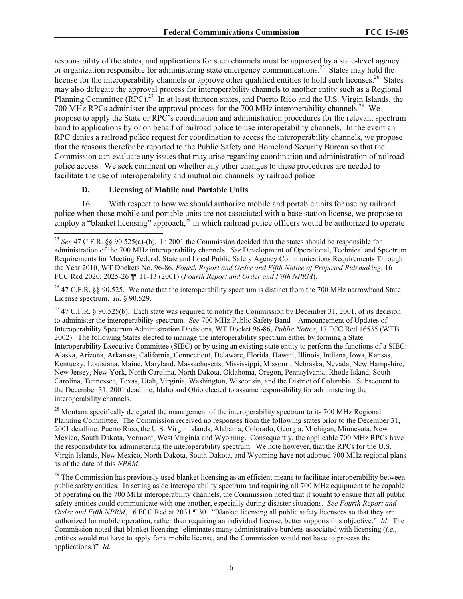responsibility of the states, and applications for such channels must be approved by a state-level agency or organization responsible for administering state emergency communications.<sup>25</sup> States may hold the license for the interoperability channels or approve other qualified entities to hold such licenses.<sup>26</sup> States may also delegate the approval process for interoperability channels to another entity such as a Regional Planning Committee (RPC).<sup>27</sup> In at least thirteen states, and Puerto Rico and the U.S. Virgin Islands, the 700 MHz RPCs administer the approval process for the 700 MHz interoperability channels.<sup>28</sup> We propose to apply the State or RPC's coordination and administration procedures for the relevant spectrum band to applications by or on behalf of railroad police to use interoperability channels. In the event an RPC denies a railroad police request for coordination to access the interoperability channels, we propose that the reasons therefor be reported to the Public Safety and Homeland Security Bureau so that the Commission can evaluate any issues that may arise regarding coordination and administration of railroad police access. We seek comment on whether any other changes to these procedures are needed to facilitate the use of interoperability and mutual aid channels by railroad police

# **D. Licensing of Mobile and Portable Units**

l

16. With respect to how we should authorize mobile and portable units for use by railroad police when those mobile and portable units are not associated with a base station license, we propose to employ a "blanket licensing" approach, $^{29}$  in which railroad police officers would be authorized to operate

<sup>26</sup> 47 C.F.R. §§ 90.525. We note that the interoperability spectrum is distinct from the 700 MHz narrowband State License spectrum. *Id*. § 90.529.

<sup>27</sup> 47 C.F.R. § 90.525(b). Each state was required to notify the Commission by December 31, 2001, of its decision to administer the interoperability spectrum. *See* 700 MHz Public Safety Band – Announcement of Updates of Interoperability Spectrum Administration Decisions, WT Docket 96-86, *Public Notice*, 17 FCC Rcd 16535 (WTB 2002). The following States elected to manage the interoperability spectrum either by forming a State Interoperability Executive Committee (SIEC) or by using an existing state entity to perform the functions of a SIEC: Alaska, Arizona, Arkansas, California, Connecticut, Delaware, Florida, Hawaii, Illinois, Indiana, Iowa, Kansas, Kentucky, Louisiana, Maine, Maryland, Massachusetts, Mississippi, Missouri, Nebraska, Nevada, New Hampshire, New Jersey, New York, North Carolina, North Dakota, Oklahoma, Oregon, Pennsylvania, Rhode Island, South Carolina, Tennessee, Texas, Utah, Virginia, Washington, Wisconsin, and the District of Columbia. Subsequent to the December 31, 2001 deadline, Idaho and Ohio elected to assume responsibility for administering the interoperability channels.

<sup>28</sup> Montana specifically delegated the management of the interoperability spectrum to its 700 MHz Regional Planning Committee. The Commission received no responses from the following states prior to the December 31, 2001 deadline: Puerto Rico, the U.S. Virgin Islands, Alabama, Colorado, Georgia, Michigan, Minnesota, New Mexico, South Dakota, Vermont, West Virginia and Wyoming. Consequently, the applicable 700 MHz RPCs have the responsibility for administering the interoperability spectrum. We note however, that the RPCs for the U.S. Virgin Islands, New Mexico, North Dakota, South Dakota, and Wyoming have not adopted 700 MHz regional plans as of the date of this *NPRM*.

<sup>29</sup> The Commission has previously used blanket licensing as an efficient means to facilitate interoperability between public safety entities. In setting aside interoperability spectrum and requiring all 700 MHz equipment to be capable of operating on the 700 MHz interoperability channels, the Commission noted that it sought to ensure that all public safety entities could communicate with one another, especially during disaster situations. *See Fourth Report and Order and Fifth NPRM*, 16 FCC Rcd at 2031 ¶ 30. "Blanket licensing all public safety licensees so that they are authorized for mobile operation, rather than requiring an individual license, better supports this objective." *Id*. The Commission noted that blanket licensing "eliminates many administrative burdens associated with licensing (*i.e.*, entities would not have to apply for a mobile license, and the Commission would not have to process the applications.)" *Id*.

<sup>25</sup> *See* 47 C.F.R. §§ 90.525(a)-(b). In 2001 the Commission decided that the states should be responsible for administration of the 700 MHz interoperability channels. *See* Development of Operational, Technical and Spectrum Requirements for Meeting Federal, State and Local Public Safety Agency Communications Requirements Through the Year 2010, WT Dockets No. 96-86, *Fourth Report and Order and Fifth Notice of Proposed Rulemaking*, 16 FCC Rcd 2020, 2025-26 ¶¶ 11-13 (2001) (*Fourth Report and Order and Fifth NPRM*).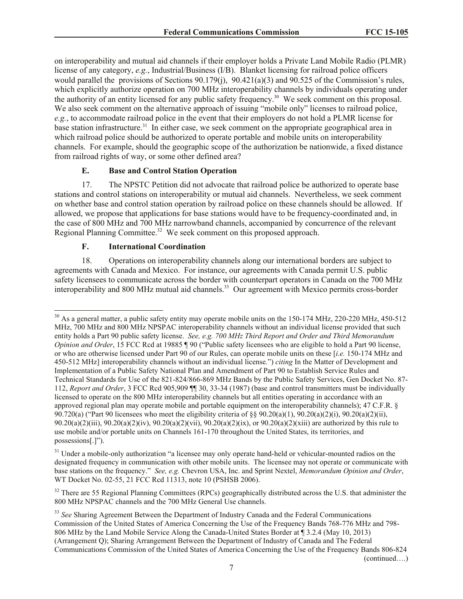on interoperability and mutual aid channels if their employer holds a Private Land Mobile Radio (PLMR) license of any category, *e.g.*, Industrial/Business (I/B). Blanket licensing for railroad police officers would parallel the provisions of Sections 90.179(j), 90.421(a)(3) and 90.525 of the Commission's rules, which explicitly authorize operation on 700 MHz interoperability channels by individuals operating under the authority of an entity licensed for any public safety frequency.<sup>30</sup> We seek comment on this proposal. We also seek comment on the alternative approach of issuing "mobile only" licenses to railroad police, *e.g.*, to accommodate railroad police in the event that their employers do not hold a PLMR license for base station infrastructure.<sup>31</sup> In either case, we seek comment on the appropriate geographical area in which railroad police should be authorized to operate portable and mobile units on interoperability channels. For example, should the geographic scope of the authorization be nationwide, a fixed distance from railroad rights of way, or some other defined area?

# **E. Base and Control Station Operation**

17. The NPSTC Petition did not advocate that railroad police be authorized to operate base stations and control stations on interoperability or mutual aid channels. Nevertheless, we seek comment on whether base and control station operation by railroad police on these channels should be allowed. If allowed, we propose that applications for base stations would have to be frequency-coordinated and, in the case of 800 MHz and 700 MHz narrowband channels, accompanied by concurrence of the relevant Regional Planning Committee.<sup>32</sup> We seek comment on this proposed approach.

# **F. International Coordination**

l

18. Operations on interoperability channels along our international borders are subject to agreements with Canada and Mexico. For instance, our agreements with Canada permit U.S. public safety licensees to communicate across the border with counterpart operators in Canada on the 700 MHz interoperability and 800 MHz mutual aid channels.<sup>33</sup> Our agreement with Mexico permits cross-border

 $30$  As a general matter, a public safety entity may operate mobile units on the 150-174 MHz, 220-220 MHz, 450-512 MHz, 700 MHz and 800 MHz NPSPAC interoperability channels without an individual license provided that such entity holds a Part 90 public safety license. *See, e.g. 700 MHz Third Report and Order and Third Memorandum Opinion and Order*, 15 FCC Rcd at 19885 ¶ 90 ("Public safety licensees who are eligible to hold a Part 90 license, or who are otherwise licensed under Part 90 of our Rules, can operate mobile units on these [*i.e.* 150-174 MHz and 450-512 MHz] interoperability channels without an individual license.") *citing* In the Matter of Development and Implementation of a Public Safety National Plan and Amendment of Part 90 to Establish Service Rules and Technical Standards for Use of the 821-824/866-869 MHz Bands by the Public Safety Services, Gen Docket No. 87- 112, *Report and Order*, 3 FCC Rcd 905,909 ¶¶ 30, 33-34 (1987) (base and control transmitters must be individually licensed to operate on the 800 MHz interoperability channels but all entities operating in accordance with an approved regional plan may operate mobile and portable equipment on the interoperability channels); 47 C.F.R. § 90.720(a) ("Part 90 licensees who meet the eligibility criteria of §§ 90.20(a)(1), 90.20(a)(2)(i), 90.20(a)(2)(ii),  $90.20(a)(2)$ (iii),  $90.20(a)(2)$ (iv),  $90.20(a)(2)$ (vii),  $90.20(a)(2)$ (ix), or  $90.20(a)(2)$ (xiii) are authorized by this rule to use mobile and/or portable units on Channels 161-170 throughout the United States, its territories, and possessions[.]").

<sup>&</sup>lt;sup>31</sup> Under a mobile-only authorization "a licensee may only operate hand-held or vehicular-mounted radios on the designated frequency in communication with other mobile units. The licensee may not operate or communicate with base stations on the frequency." *See, e.g.* Chevron USA, Inc. and Sprint Nextel, *Memorandum Opinion and Order*, WT Docket No. 02-55, 21 FCC Rcd 11313, note 10 (PSHSB 2006).

 $32$  There are 55 Regional Planning Committees (RPCs) geographically distributed across the U.S. that administer the 800 MHz NPSPAC channels and the 700 MHz General Use channels.

<sup>&</sup>lt;sup>33</sup> See Sharing Agreement Between the Department of Industry Canada and the Federal Communications Commission of the United States of America Concerning the Use of the Frequency Bands 768-776 MHz and 798- 806 MHz by the Land Mobile Service Along the Canada-United States Border at ¶ 3.2.4 (May 10, 2013) (Arrangement Q); Sharing Arrangement Between the Department of Industry of Canada and The Federal Communications Commission of the United States of America Concerning the Use of the Frequency Bands 806-824 (continued….)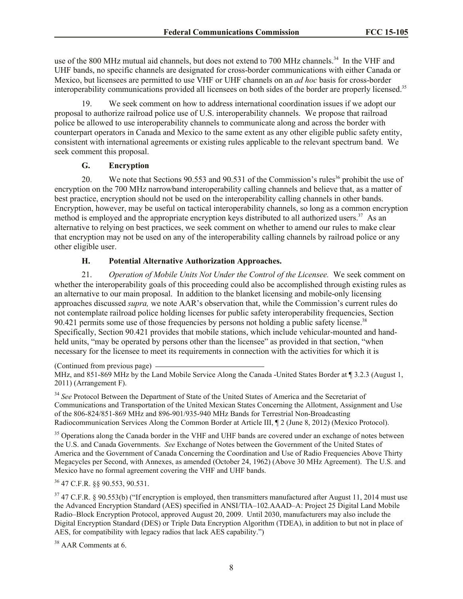use of the 800 MHz mutual aid channels, but does not extend to 700 MHz channels.<sup>34</sup> In the VHF and UHF bands, no specific channels are designated for cross-border communications with either Canada or Mexico, but licensees are permitted to use VHF or UHF channels on an *ad hoc* basis for cross-border interoperability communications provided all licensees on both sides of the border are properly licensed.<sup>35</sup>

19. We seek comment on how to address international coordination issues if we adopt our proposal to authorize railroad police use of U.S. interoperability channels. We propose that railroad police be allowed to use interoperability channels to communicate along and across the border with counterpart operators in Canada and Mexico to the same extent as any other eligible public safety entity, consistent with international agreements or existing rules applicable to the relevant spectrum band. We seek comment this proposal.

# **G. Encryption**

20. We note that Sections 90.553 and 90.531 of the Commission's rules<sup>36</sup> prohibit the use of encryption on the 700 MHz narrowband interoperability calling channels and believe that, as a matter of best practice, encryption should not be used on the interoperability calling channels in other bands. Encryption, however, may be useful on tactical interoperability channels, so long as a common encryption method is employed and the appropriate encryption keys distributed to all authorized users.<sup>37</sup> As an alternative to relying on best practices, we seek comment on whether to amend our rules to make clear that encryption may not be used on any of the interoperability calling channels by railroad police or any other eligible user.

# **H. Potential Alternative Authorization Approaches.**

21. *Operation of Mobile Units Not Under the Control of the Licensee.* We seek comment on whether the interoperability goals of this proceeding could also be accomplished through existing rules as an alternative to our main proposal. In addition to the blanket licensing and mobile-only licensing approaches discussed *supra,* we note AAR's observation that, while the Commission's current rules do not contemplate railroad police holding licenses for public safety interoperability frequencies, Section 90.421 permits some use of those frequencies by persons not holding a public safety license.<sup>38</sup> Specifically, Section 90.421 provides that mobile stations, which include vehicular-mounted and handheld units, "may be operated by persons other than the licensee" as provided in that section, "when necessary for the licensee to meet its requirements in connection with the activities for which it is

(Continued from previous page) MHz, and 851-869 MHz by the Land Mobile Service Along the Canada -United States Border at ¶ 3.2.3 (August 1, 2011) (Arrangement F).

<sup>34</sup> See Protocol Between the Department of State of the United States of America and the Secretariat of Communications and Transportation of the United Mexican States Concerning the Allotment, Assignment and Use of the 806-824/851-869 MHz and 896-901/935-940 MHz Bands for Terrestrial Non-Broadcasting Radiocommunication Services Along the Common Border at Article III,  $\P$  2 (June 8, 2012) (Mexico Protocol).

<sup>35</sup> Operations along the Canada border in the VHF and UHF bands are covered under an exchange of notes between the U.S. and Canada Governments. *See* Exchange of Notes between the Government of the United States of America and the Government of Canada Concerning the Coordination and Use of Radio Frequencies Above Thirty Megacycles per Second, with Annexes, as amended (October 24, 1962) (Above 30 MHz Agreement). The U.S. and Mexico have no formal agreement covering the VHF and UHF bands.

<sup>36</sup> 47 C.F.R. §§ 90.553, 90.531.

 $37$  47 C.F.R. § 90.553(b) ("If encryption is employed, then transmitters manufactured after August 11, 2014 must use the Advanced Encryption Standard (AES) specified in ANSI/TIA–102.AAAD–A: Project 25 Digital Land Mobile Radio–Block Encryption Protocol, approved August 20, 2009. Until 2030, manufacturers may also include the Digital Encryption Standard (DES) or Triple Data Encryption Algorithm (TDEA), in addition to but not in place of AES, for compatibility with legacy radios that lack AES capability.")

<sup>38</sup> AAR Comments at 6.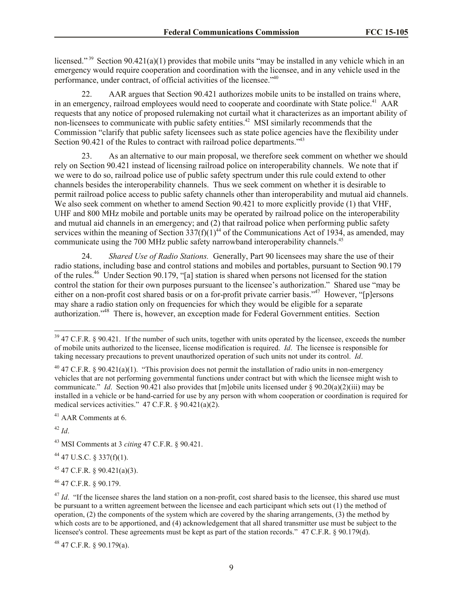licensed."<sup>39</sup> Section 90.421(a)(1) provides that mobile units "may be installed in any vehicle which in an emergency would require cooperation and coordination with the licensee, and in any vehicle used in the performance, under contract, of official activities of the licensee."<sup>40</sup>

AAR argues that Section 90.421 authorizes mobile units to be installed on trains where, in an emergency, railroad employees would need to cooperate and coordinate with State police.<sup>41</sup> AAR requests that any notice of proposed rulemaking not curtail what it characterizes as an important ability of non-licensees to communicate with public safety entities.<sup> $42$ </sup> MSI similarly recommends that the Commission "clarify that public safety licensees such as state police agencies have the flexibility under Section 90.421 of the Rules to contract with railroad police departments."<sup>43</sup>

23. As an alternative to our main proposal, we therefore seek comment on whether we should rely on Section 90.421 instead of licensing railroad police on interoperability channels. We note that if we were to do so, railroad police use of public safety spectrum under this rule could extend to other channels besides the interoperability channels. Thus we seek comment on whether it is desirable to permit railroad police access to public safety channels other than interoperability and mutual aid channels. We also seek comment on whether to amend Section 90.421 to more explicitly provide (1) that VHF, UHF and 800 MHz mobile and portable units may be operated by railroad police on the interoperability and mutual aid channels in an emergency; and (2) that railroad police when performing public safety services within the meaning of Section  $337(f)(1)^{44}$  of the Communications Act of 1934, as amended, may communicate using the 700 MHz public safety narrowband interoperability channels.<sup>45</sup>

24. *Shared Use of Radio Stations.* Generally, Part 90 licensees may share the use of their radio stations, including base and control stations and mobiles and portables, pursuant to Section 90.179 of the rules.<sup>46</sup> Under Section 90.179, "[a] station is shared when persons not licensed for the station control the station for their own purposes pursuant to the licensee's authorization." Shared use "may be either on a non-profit cost shared basis or on a for-profit private carrier basis."<sup>47</sup> However, "[p]ersons may share a radio station only on frequencies for which they would be eligible for a separate authorization."<sup>48</sup> There is, however, an exception made for Federal Government entities. Section

<sup>41</sup> AAR Comments at 6.

<sup>42</sup> *Id*.

l

<sup>43</sup> MSI Comments at 3 *citing* 47 C.F.R. § 90.421.

 $44$  47 U.S.C. § 337(f)(1).

<sup>45</sup> 47 C.F.R. § 90.421(a)(3).

<sup>46</sup> 47 C.F.R. § 90.179.

 $48$  47 C.F.R. § 90.179(a).

 $39$  47 C.F.R. § 90.421. If the number of such units, together with units operated by the licensee, exceeds the number of mobile units authorized to the licensee, license modification is required. *Id*. The licensee is responsible for taking necessary precautions to prevent unauthorized operation of such units not under its control. *Id*.

<sup>&</sup>lt;sup>40</sup> 47 C.F.R. § 90.421(a)(1). "This provision does not permit the installation of radio units in non-emergency vehicles that are not performing governmental functions under contract but with which the licensee might wish to communicate." *Id*. Section 90.421 also provides that [m]obile units licensed under § 90.20(a)(2)(iii) may be installed in a vehicle or be hand-carried for use by any person with whom cooperation or coordination is required for medical services activities." 47 C.F.R. § 90.421(a)(2).

<sup>&</sup>lt;sup>47</sup> *Id.* "If the licensee shares the land station on a non-profit, cost shared basis to the licensee, this shared use must be pursuant to a written agreement between the licensee and each participant which sets out (1) the method of operation, (2) the components of the system which are covered by the sharing arrangements, (3) the method by which costs are to be apportioned, and (4) acknowledgement that all shared transmitter use must be subject to the licensee's control. These agreements must be kept as part of the station records." 47 C.F.R. § 90.179(d).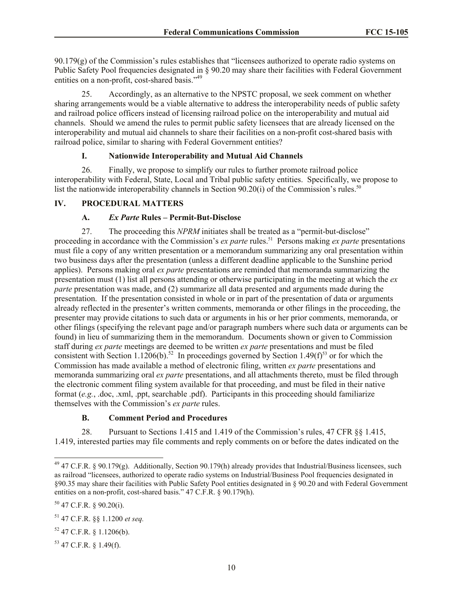$90.179(g)$  of the Commission's rules establishes that "licensees authorized to operate radio systems on Public Safety Pool frequencies designated in § 90.20 may share their facilities with Federal Government entities on a non-profit, cost-shared basis."<sup>49</sup>

25. Accordingly, as an alternative to the NPSTC proposal, we seek comment on whether sharing arrangements would be a viable alternative to address the interoperability needs of public safety and railroad police officers instead of licensing railroad police on the interoperability and mutual aid channels. Should we amend the rules to permit public safety licensees that are already licensed on the interoperability and mutual aid channels to share their facilities on a non-profit cost-shared basis with railroad police, similar to sharing with Federal Government entities?

# **I. Nationwide Interoperability and Mutual Aid Channels**

26. Finally, we propose to simplify our rules to further promote railroad police interoperability with Federal, State, Local and Tribal public safety entities. Specifically, we propose to list the nationwide interoperability channels in Section 90.20(i) of the Commission's rules.<sup>50</sup>

# **IV. PROCEDURAL MATTERS**

# **A.** *Ex Parte* **Rules – Permit-But-Disclose**

27. The proceeding this *NPRM* initiates shall be treated as a "permit-but-disclose" proceeding in accordance with the Commission's *ex parte* rules.<sup>51</sup> Persons making *ex parte* presentations must file a copy of any written presentation or a memorandum summarizing any oral presentation within two business days after the presentation (unless a different deadline applicable to the Sunshine period applies). Persons making oral *ex parte* presentations are reminded that memoranda summarizing the presentation must (1) list all persons attending or otherwise participating in the meeting at which the *ex parte* presentation was made, and (2) summarize all data presented and arguments made during the presentation. If the presentation consisted in whole or in part of the presentation of data or arguments already reflected in the presenter's written comments, memoranda or other filings in the proceeding, the presenter may provide citations to such data or arguments in his or her prior comments, memoranda, or other filings (specifying the relevant page and/or paragraph numbers where such data or arguments can be found) in lieu of summarizing them in the memorandum. Documents shown or given to Commission staff during *ex parte* meetings are deemed to be written *ex parte* presentations and must be filed consistent with Section 1.1206(b).<sup>52</sup> In proceedings governed by Section 1.49(f)<sup>53</sup> or for which the Commission has made available a method of electronic filing, written *ex parte* presentations and memoranda summarizing oral *ex parte* presentations, and all attachments thereto, must be filed through the electronic comment filing system available for that proceeding, and must be filed in their native format (*e.g.*, .doc, .xml, .ppt, searchable .pdf). Participants in this proceeding should familiarize themselves with the Commission's *ex parte* rules.

# **B. Comment Period and Procedures**

28. Pursuant to Sections 1.415 and 1.419 of the Commission's rules, 47 CFR §§ 1.415, 1.419, interested parties may file comments and reply comments on or before the dates indicated on the

l

 $49$  47 C.F.R. § 90.179(g). Additionally, Section 90.179(h) already provides that Industrial/Business licensees, such as railroad "licensees, authorized to operate radio systems on Industrial/Business Pool frequencies designated in §90.35 may share their facilities with Public Safety Pool entities designated in § 90.20 and with Federal Government entities on a non-profit, cost-shared basis." 47 C.F.R. § 90.179(h).

 $50$  47 C.F.R. § 90.20(i).

<sup>51</sup> 47 C.F.R. §§ 1.1200 *et seq.*

 $52$  47 C.F.R. § 1.1206(b).

<sup>53</sup> 47 C.F.R. § 1.49(f).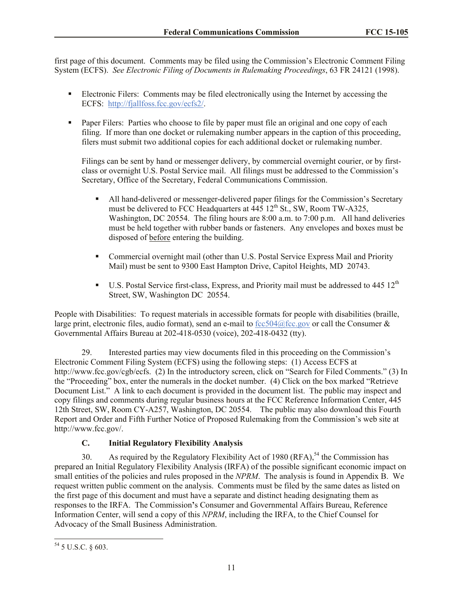first page of this document. Comments may be filed using the Commission's Electronic Comment Filing System (ECFS). *See Electronic Filing of Documents in Rulemaking Proceedings*, 63 FR 24121 (1998).

- Electronic Filers: Comments may be filed electronically using the Internet by accessing the ECFS: http://fjallfoss.fcc.gov/ecfs2/.
- Paper Filers: Parties who choose to file by paper must file an original and one copy of each filing. If more than one docket or rulemaking number appears in the caption of this proceeding, filers must submit two additional copies for each additional docket or rulemaking number.

Filings can be sent by hand or messenger delivery, by commercial overnight courier, or by firstclass or overnight U.S. Postal Service mail. All filings must be addressed to the Commission's Secretary, Office of the Secretary, Federal Communications Commission.

- All hand-delivered or messenger-delivered paper filings for the Commission's Secretary must be delivered to FCC Headquarters at  $445 \times 12^{th}$  St., SW, Room TW-A325, Washington, DC 20554. The filing hours are 8:00 a.m. to 7:00 p.m. All hand deliveries must be held together with rubber bands or fasteners. Any envelopes and boxes must be disposed of before entering the building.
- Commercial overnight mail (other than U.S. Postal Service Express Mail and Priority Mail) must be sent to 9300 East Hampton Drive, Capitol Heights, MD 20743.
- $\blacksquare$  U.S. Postal Service first-class, Express, and Priority mail must be addressed to 445 12<sup>th</sup> Street, SW, Washington DC 20554.

People with Disabilities: To request materials in accessible formats for people with disabilities (braille, large print, electronic files, audio format), send an e-mail to  $fcc504@$  fcc.gov or call the Consumer  $&$ Governmental Affairs Bureau at 202-418-0530 (voice), 202-418-0432 (tty).

29. Interested parties may view documents filed in this proceeding on the Commission's Electronic Comment Filing System (ECFS) using the following steps: (1) Access ECFS at http://www.fcc.gov/cgb/ecfs. (2) In the introductory screen, click on "Search for Filed Comments." (3) In the "Proceeding" box, enter the numerals in the docket number. (4) Click on the box marked "Retrieve Document List." A link to each document is provided in the document list. The public may inspect and copy filings and comments during regular business hours at the FCC Reference Information Center, 445 12th Street, SW, Room CY-A257, Washington, DC 20554. The public may also download this Fourth Report and Order and Fifth Further Notice of Proposed Rulemaking from the Commission's web site at http://www.fcc.gov/.

# **C. Initial Regulatory Flexibility Analysis**

30. As required by the Regulatory Flexibility Act of 1980 (RFA),<sup>54</sup> the Commission has prepared an Initial Regulatory Flexibility Analysis (IRFA) of the possible significant economic impact on small entities of the policies and rules proposed in the *NPRM*. The analysis is found in Appendix B. We request written public comment on the analysis. Comments must be filed by the same dates as listed on the first page of this document and must have a separate and distinct heading designating them as responses to the IRFA. The Commission**'**s Consumer and Governmental Affairs Bureau, Reference Information Center, will send a copy of this *NPRM*, including the IRFA, to the Chief Counsel for Advocacy of the Small Business Administration.

l

 $54$  5 U.S.C. § 603.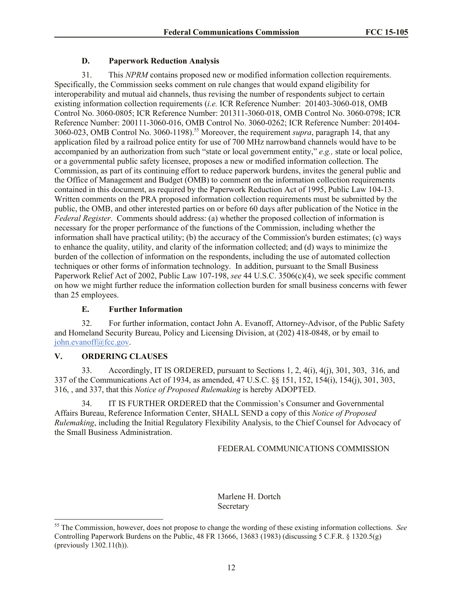# **D. Paperwork Reduction Analysis**

31. This *NPRM* contains proposed new or modified information collection requirements. Specifically, the Commission seeks comment on rule changes that would expand eligibility for interoperability and mutual aid channels, thus revising the number of respondents subject to certain existing information collection requirements (*i.e.* ICR Reference Number: 201403-3060-018, OMB Control No. 3060-0805; ICR Reference Number: 201311-3060-018, OMB Control No. 3060-0798; ICR Reference Number: 200111-3060-016, OMB Control No. 3060-0262; ICR Reference Number: 201404- 3060-023, OMB Control No. 3060-1198).<sup>55</sup> Moreover, the requirement *supra*, paragraph 14, that any application filed by a railroad police entity for use of 700 MHz narrowband channels would have to be accompanied by an authorization from such "state or local government entity," *e.g.,* state or local police, or a governmental public safety licensee, proposes a new or modified information collection. The Commission, as part of its continuing effort to reduce paperwork burdens, invites the general public and the Office of Management and Budget (OMB) to comment on the information collection requirements contained in this document, as required by the Paperwork Reduction Act of 1995, Public Law 104-13. Written comments on the PRA proposed information collection requirements must be submitted by the public, the OMB, and other interested parties on or before 60 days after publication of the Notice in the *Federal Register*. Comments should address: (a) whether the proposed collection of information is necessary for the proper performance of the functions of the Commission, including whether the information shall have practical utility; (b) the accuracy of the Commission's burden estimates; (c) ways to enhance the quality, utility, and clarity of the information collected; and (d) ways to minimize the burden of the collection of information on the respondents, including the use of automated collection techniques or other forms of information technology. In addition, pursuant to the Small Business Paperwork Relief Act of 2002, Public Law 107-198, *see* 44 U.S.C. 3506(c)(4), we seek specific comment on how we might further reduce the information collection burden for small business concerns with fewer than 25 employees.

# **E. Further Information**

32. For further information, contact John A. Evanoff, Attorney-Advisor, of the Public Safety and Homeland Security Bureau, Policy and Licensing Division, at (202) 418-0848, or by email to john.evanoff@fcc.gov.

# **V. ORDERING CLAUSES**

l

33. Accordingly, IT IS ORDERED, pursuant to Sections 1, 2, 4(i), 4(j), 301, 303, 316, and 337 of the Communications Act of 1934, as amended, 47 U.S.C. §§ 151, 152, 154(i), 154(j), 301, 303, 316, , and 337, that this *Notice of Proposed Rulemaking* is hereby ADOPTED.

34. IT IS FURTHER ORDERED that the Commission's Consumer and Governmental Affairs Bureau, Reference Information Center, SHALL SEND a copy of this *Notice of Proposed Rulemaking*, including the Initial Regulatory Flexibility Analysis, to the Chief Counsel for Advocacy of the Small Business Administration.

FEDERAL COMMUNICATIONS COMMISSION

Marlene H. Dortch **Secretary** 

<sup>55</sup> The Commission, however, does not propose to change the wording of these existing information collections. *See* Controlling Paperwork Burdens on the Public, 48 FR 13666, 13683 (1983) (discussing 5 C.F.R. § 1320.5(g) (previously  $1302.11(h)$ ).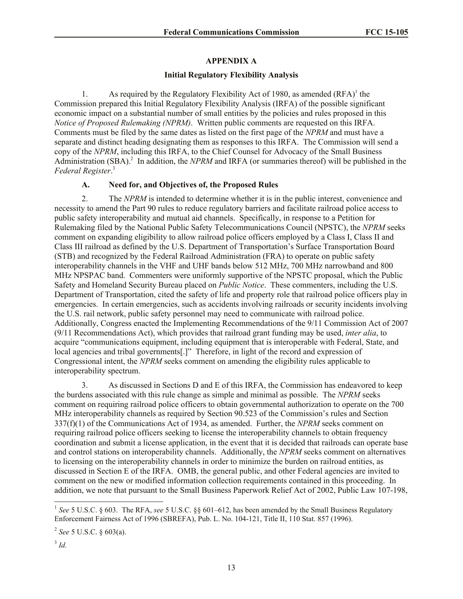#### **APPENDIX A**

#### **Initial Regulatory Flexibility Analysis**

1. As required by the Regulatory Flexibility Act of 1980, as amended  $(RFA)^{1}$  the Commission prepared this Initial Regulatory Flexibility Analysis (IRFA) of the possible significant economic impact on a substantial number of small entities by the policies and rules proposed in this *Notice of Proposed Rulemaking (NPRM)*. Written public comments are requested on this IRFA. Comments must be filed by the same dates as listed on the first page of the *NPRM* and must have a separate and distinct heading designating them as responses to this IRFA. The Commission will send a copy of the *NPRM*, including this IRFA, to the Chief Counsel for Advocacy of the Small Business Administration (SBA).<sup>2</sup> In addition, the *NPRM* and IRFA (or summaries thereof) will be published in the *Federal Register*. 3

#### **A. Need for, and Objectives of, the Proposed Rules**

2. The *NPRM* is intended to determine whether it is in the public interest, convenience and necessity to amend the Part 90 rules to reduce regulatory barriers and facilitate railroad police access to public safety interoperability and mutual aid channels. Specifically, in response to a Petition for Rulemaking filed by the National Public Safety Telecommunications Council (NPSTC), the *NPRM* seeks comment on expanding eligibility to allow railroad police officers employed by a Class I, Class II and Class III railroad as defined by the U.S. Department of Transportation's Surface Transportation Board (STB) and recognized by the Federal Railroad Administration (FRA) to operate on public safety interoperability channels in the VHF and UHF bands below 512 MHz, 700 MHz narrowband and 800 MHz NPSPAC band. Commenters were uniformly supportive of the NPSTC proposal, which the Public Safety and Homeland Security Bureau placed on *Public Notice*. These commenters, including the U.S. Department of Transportation, cited the safety of life and property role that railroad police officers play in emergencies. In certain emergencies, such as accidents involving railroads or security incidents involving the U.S. rail network, public safety personnel may need to communicate with railroad police. Additionally, Congress enacted the Implementing Recommendations of the 9/11 Commission Act of 2007 (9/11 Recommendations Act), which provides that railroad grant funding may be used, *inter alia*, to acquire "communications equipment, including equipment that is interoperable with Federal, State, and local agencies and tribal governments[.]" Therefore, in light of the record and expression of Congressional intent, the *NPRM* seeks comment on amending the eligibility rules applicable to interoperability spectrum.

3. As discussed in Sections D and E of this IRFA, the Commission has endeavored to keep the burdens associated with this rule change as simple and minimal as possible. The *NPRM* seeks comment on requiring railroad police officers to obtain governmental authorization to operate on the 700 MHz interoperability channels as required by Section 90.523 of the Commission's rules and Section 337(f)(1) of the Communications Act of 1934, as amended. Further, the *NPRM* seeks comment on requiring railroad police officers seeking to license the interoperability channels to obtain frequency coordination and submit a license application, in the event that it is decided that railroads can operate base and control stations on interoperability channels. Additionally, the *NPRM* seeks comment on alternatives to licensing on the interoperability channels in order to minimize the burden on railroad entities, as discussed in Section E of the IRFA. OMB, the general public, and other Federal agencies are invited to comment on the new or modified information collection requirements contained in this proceeding. In addition, we note that pursuant to the Small Business Paperwork Relief Act of 2002, Public Law 107-198,

l

<sup>&</sup>lt;sup>1</sup> See 5 U.S.C. § 603. The RFA, see 5 U.S.C. §§ 601–612, has been amended by the Small Business Regulatory Enforcement Fairness Act of 1996 (SBREFA), Pub. L. No. 104-121, Title II, 110 Stat. 857 (1996).

<sup>2</sup> *See* 5 U.S.C. § 603(a).

<sup>3</sup> *Id.*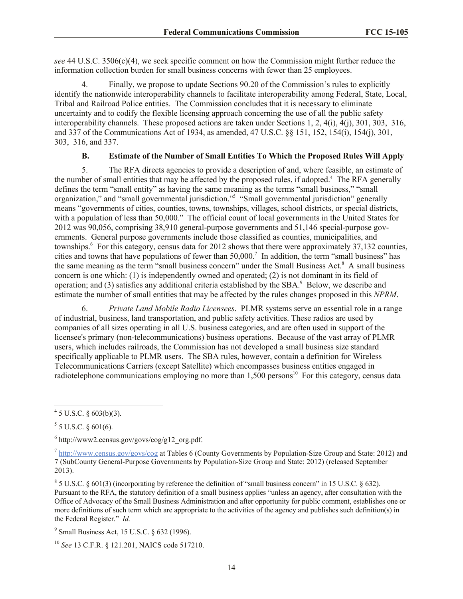*see* 44 U.S.C. 3506(c)(4), we seek specific comment on how the Commission might further reduce the information collection burden for small business concerns with fewer than 25 employees.

4. Finally, we propose to update Sections 90.20 of the Commission's rules to explicitly identify the nationwide interoperability channels to facilitate interoperability among Federal, State, Local, Tribal and Railroad Police entities. The Commission concludes that it is necessary to eliminate uncertainty and to codify the flexible licensing approach concerning the use of all the public safety interoperability channels. These proposed actions are taken under Sections 1, 2, 4(i), 4(j), 301, 303, 316, and 337 of the Communications Act of 1934, as amended, 47 U.S.C. §§ 151, 152, 154(i), 154(j), 301, 303, 316, and 337.

# **B. Estimate of the Number of Small Entities To Which the Proposed Rules Will Apply**

5. The RFA directs agencies to provide a description of and, where feasible, an estimate of the number of small entities that may be affected by the proposed rules, if adopted.<sup>4</sup> The RFA generally defines the term "small entity" as having the same meaning as the terms "small business," "small organization," and "small governmental jurisdiction."<sup>5</sup> "Small governmental jurisdiction" generally means "governments of cities, counties, towns, townships, villages, school districts, or special districts, with a population of less than 50,000." The official count of local governments in the United States for 2012 was 90,056, comprising 38,910 general-purpose governments and 51,146 special-purpose governments. General purpose governments include those classified as counties, municipalities, and townships.<sup>6</sup> For this category, census data for 2012 shows that there were approximately 37,132 counties, cities and towns that have populations of fewer than  $50,000$ .<sup>7</sup> In addition, the term "small business" has the same meaning as the term "small business concern" under the Small Business Act.<sup>8</sup> A small business concern is one which: (1) is independently owned and operated; (2) is not dominant in its field of operation; and (3) satisfies any additional criteria established by the  $SBA$ <sup>9</sup> Below, we describe and estimate the number of small entities that may be affected by the rules changes proposed in this *NPRM*.

6. *Private Land Mobile Radio Licensees*. PLMR systems serve an essential role in a range of industrial, business, land transportation, and public safety activities. These radios are used by companies of all sizes operating in all U.S. business categories, and are often used in support of the licensee's primary (non-telecommunications) business operations. Because of the vast array of PLMR users, which includes railroads, the Commission has not developed a small business size standard specifically applicable to PLMR users. The SBA rules, however, contain a definition for Wireless Telecommunications Carriers (except Satellite) which encompasses business entities engaged in radiotelephone communications employing no more than  $1.500$  persons<sup>10</sup> For this category, census data

 $4\overline{5}$  U.S.C. § 603(b)(3).

 $5$  5 U.S.C. § 601(6).

<sup>6</sup> http://www2.census.gov/govs/cog/g12\_org.pdf.

 $^{7}$  http://www.census.gov/govs/cog at Tables 6 (County Governments by Population-Size Group and State: 2012) and 7 (SubCounty General-Purpose Governments by Population-Size Group and State: 2012) (released September 2013).

 $8\,$  5 U.S.C. § 601(3) (incorporating by reference the definition of "small business concern" in 15 U.S.C. § 632). Pursuant to the RFA, the statutory definition of a small business applies "unless an agency, after consultation with the Office of Advocacy of the Small Business Administration and after opportunity for public comment, establishes one or more definitions of such term which are appropriate to the activities of the agency and publishes such definition(s) in the Federal Register." *Id.*

<sup>&</sup>lt;sup>9</sup> Small Business Act, 15 U.S.C. § 632 (1996).

<sup>10</sup> *See* 13 C.F.R. § 121.201, NAICS code 517210.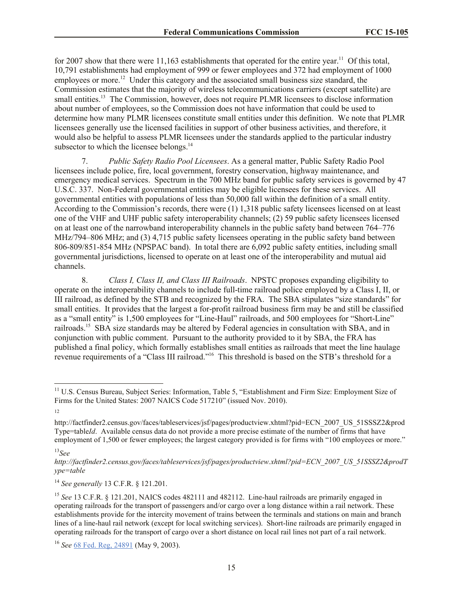for 2007 show that there were  $11,163$  establishments that operated for the entire year.<sup>11</sup> Of this total, 10,791 establishments had employment of 999 or fewer employees and 372 had employment of 1000 employees or more.<sup>12</sup> Under this category and the associated small business size standard, the Commission estimates that the majority of wireless telecommunications carriers (except satellite) are small entities.<sup>13</sup> The Commission, however, does not require PLMR licensees to disclose information about number of employees, so the Commission does not have information that could be used to determine how many PLMR licensees constitute small entities under this definition. We note that PLMR licensees generally use the licensed facilities in support of other business activities, and therefore, it would also be helpful to assess PLMR licensees under the standards applied to the particular industry subsector to which the licensee belongs.<sup>14</sup>

7. *Public Safety Radio Pool Licensees*. As a general matter, Public Safety Radio Pool licensees include police, fire, local government, forestry conservation, highway maintenance, and emergency medical services. Spectrum in the 700 MHz band for public safety services is governed by 47 U.S.C. 337. Non-Federal governmental entities may be eligible licensees for these services. All governmental entities with populations of less than 50,000 fall within the definition of a small entity. According to the Commission's records, there were (1) 1,318 public safety licensees licensed on at least one of the VHF and UHF public safety interoperability channels; (2) 59 public safety licensees licensed on at least one of the narrowband interoperability channels in the public safety band between 764–776 MHz/794–806 MHz; and (3) 4,715 public safety licensees operating in the public safety band between 806-809/851-854 MHz (NPSPAC band). In total there are 6,092 public safety entities, including small governmental jurisdictions, licensed to operate on at least one of the interoperability and mutual aid channels.

8. *Class I, Class II, and Class III Railroads*. NPSTC proposes expanding eligibility to operate on the interoperability channels to include full-time railroad police employed by a Class I, II, or III railroad, as defined by the STB and recognized by the FRA. The SBA stipulates "size standards" for small entities. It provides that the largest a for-profit railroad business firm may be and still be classified as a "small entity" is 1,500 employees for "Line-Haul" railroads, and 500 employees for "Short-Line" railroads.<sup>15</sup> SBA size standards may be altered by Federal agencies in consultation with SBA, and in conjunction with public comment. Pursuant to the authority provided to it by SBA, the FRA has published a final policy, which formally establishes small entities as railroads that meet the line haulage revenue requirements of a "Class III railroad."<sup>16</sup> This threshold is based on the STB's threshold for a

l

<sup>&</sup>lt;sup>11</sup> U.S. Census Bureau, Subject Series: Information, Table 5, "Establishment and Firm Size: Employment Size of Firms for the United States: 2007 NAICS Code 517210" (issued Nov. 2010).

<sup>12</sup>

http://factfinder2.census.gov/faces/tableservices/jsf/pages/productview.xhtml?pid=ECN\_2007\_US\_51SSSZ2&prod Type=table*Id*. Available census data do not provide a more precise estimate of the number of firms that have employment of 1,500 or fewer employees; the largest category provided is for firms with "100 employees or more."

<sup>13</sup>*See* 

*http://factfinder2.census.gov/faces/tableservices/jsf/pages/productview.xhtml?pid=ECN\_2007\_US\_51SSSZ2&prodT ype=table*

<sup>14</sup> *See generally* 13 C.F.R. § 121.201.

<sup>&</sup>lt;sup>15</sup> See 13 C.F.R. § 121.201, NAICS codes 482111 and 482112. Line-haul railroads are primarily engaged in operating railroads for the transport of passengers and/or cargo over a long distance within a rail network. These establishments provide for the intercity movement of trains between the terminals and stations on main and branch lines of a line-haul rail network (except for local switching services). Short-line railroads are primarily engaged in operating railroads for the transport of cargo over a short distance on local rail lines not part of a rail network.

<sup>16</sup> *See* 68 Fed. Reg, 24891 (May 9, 2003).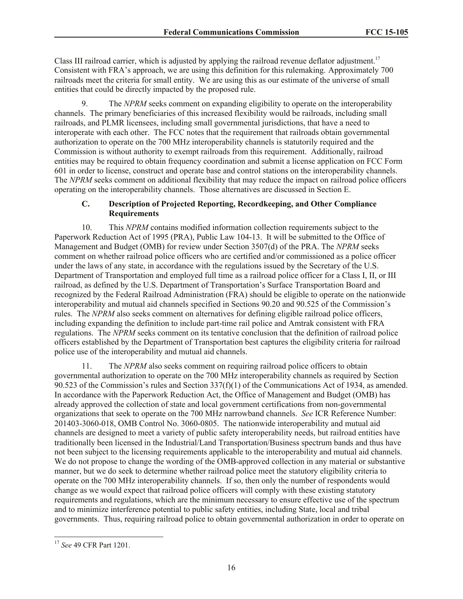Class III railroad carrier, which is adjusted by applying the railroad revenue deflator adjustment.<sup>17</sup> Consistent with FRA's approach, we are using this definition for this rulemaking. Approximately 700 railroads meet the criteria for small entity. We are using this as our estimate of the universe of small entities that could be directly impacted by the proposed rule.

9. The *NPRM* seeks comment on expanding eligibility to operate on the interoperability channels. The primary beneficiaries of this increased flexibility would be railroads, including small railroads, and PLMR licensees, including small governmental jurisdictions, that have a need to interoperate with each other. The FCC notes that the requirement that railroads obtain governmental authorization to operate on the 700 MHz interoperability channels is statutorily required and the Commission is without authority to exempt railroads from this requirement. Additionally, railroad entities may be required to obtain frequency coordination and submit a license application on FCC Form 601 in order to license, construct and operate base and control stations on the interoperability channels. The *NPRM* seeks comment on additional flexibility that may reduce the impact on railroad police officers operating on the interoperability channels. Those alternatives are discussed in Section E.

# **C. Description of Projected Reporting, Recordkeeping, and Other Compliance Requirements**

10. This *NPRM* contains modified information collection requirements subject to the Paperwork Reduction Act of 1995 (PRA), Public Law 104-13. It will be submitted to the Office of Management and Budget (OMB) for review under Section 3507(d) of the PRA. The *NPRM* seeks comment on whether railroad police officers who are certified and/or commissioned as a police officer under the laws of any state, in accordance with the regulations issued by the Secretary of the U.S. Department of Transportation and employed full time as a railroad police officer for a Class I, II, or III railroad, as defined by the U.S. Department of Transportation's Surface Transportation Board and recognized by the Federal Railroad Administration (FRA) should be eligible to operate on the nationwide interoperability and mutual aid channels specified in Sections 90.20 and 90.525 of the Commission's rules. The *NPRM* also seeks comment on alternatives for defining eligible railroad police officers, including expanding the definition to include part-time rail police and Amtrak consistent with FRA regulations. The *NPRM* seeks comment on its tentative conclusion that the definition of railroad police officers established by the Department of Transportation best captures the eligibility criteria for railroad police use of the interoperability and mutual aid channels.

11. The *NPRM* also seeks comment on requiring railroad police officers to obtain governmental authorization to operate on the 700 MHz interoperability channels as required by Section 90.523 of the Commission's rules and Section 337(f)(1) of the Communications Act of 1934, as amended. In accordance with the Paperwork Reduction Act, the Office of Management and Budget (OMB) has already approved the collection of state and local government certifications from non-governmental organizations that seek to operate on the 700 MHz narrowband channels. *See* ICR Reference Number: 201403-3060-018, OMB Control No. 3060-0805. The nationwide interoperability and mutual aid channels are designed to meet a variety of public safety interoperability needs, but railroad entities have traditionally been licensed in the Industrial/Land Transportation/Business spectrum bands and thus have not been subject to the licensing requirements applicable to the interoperability and mutual aid channels. We do not propose to change the wording of the OMB-approved collection in any material or substantive manner, but we do seek to determine whether railroad police meet the statutory eligibility criteria to operate on the 700 MHz interoperability channels. If so, then only the number of respondents would change as we would expect that railroad police officers will comply with these existing statutory requirements and regulations, which are the minimum necessary to ensure effective use of the spectrum and to minimize interference potential to public safety entities, including State, local and tribal governments. Thus, requiring railroad police to obtain governmental authorization in order to operate on

l <sup>17</sup> *See* 49 CFR Part 1201.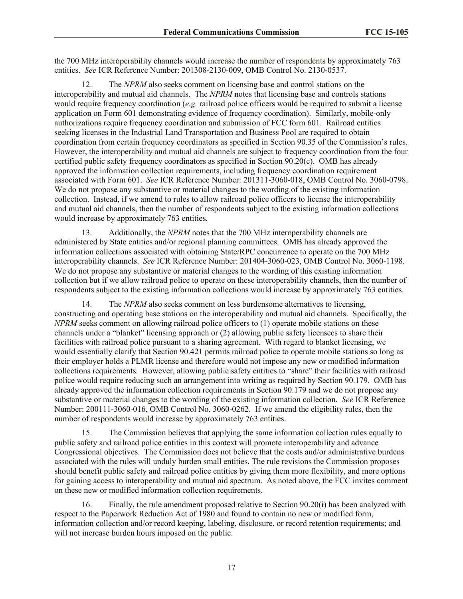the 700 MHz interoperability channels would increase the number of respondents by approximately 763 entities. *See* ICR Reference Number: 201308-2130-009, OMB Control No. 2130-0537.

12. The *NPRM* also seeks comment on licensing base and control stations on the interoperability and mutual aid channels. The *NPRM* notes that licensing base and controls stations would require frequency coordination (*e.g.* railroad police officers would be required to submit a license application on Form 601 demonstrating evidence of frequency coordination). Similarly, mobile-only authorizations require frequency coordination and submission of FCC form 601. Railroad entities seeking licenses in the Industrial Land Transportation and Business Pool are required to obtain coordination from certain frequency coordinators as specified in Section 90.35 of the Commission's rules. However, the interoperability and mutual aid channels are subject to frequency coordination from the four certified public safety frequency coordinators as specified in Section 90.20(c). OMB has already approved the information collection requirements, including frequency coordination requirement associated with Form 601. *See* ICR Reference Number: 201311-3060-018, OMB Control No. 3060-0798. We do not propose any substantive or material changes to the wording of the existing information collection. Instead, if we amend to rules to allow railroad police officers to license the interoperability and mutual aid channels, then the number of respondents subject to the existing information collections would increase by approximately 763 entities.

13. Additionally, the *NPRM* notes that the 700 MHz interoperability channels are administered by State entities and/or regional planning committees. OMB has already approved the information collections associated with obtaining State/RPC concurrence to operate on the 700 MHz interoperability channels. *See* ICR Reference Number: 201404-3060-023, OMB Control No. 3060-1198. We do not propose any substantive or material changes to the wording of this existing information collection but if we allow railroad police to operate on these interoperability channels, then the number of respondents subject to the existing information collections would increase by approximately 763 entities.

14. The *NPRM* also seeks comment on less burdensome alternatives to licensing, constructing and operating base stations on the interoperability and mutual aid channels. Specifically, the *NPRM* seeks comment on allowing railroad police officers to (1) operate mobile stations on these channels under a "blanket" licensing approach or (2) allowing public safety licensees to share their facilities with railroad police pursuant to a sharing agreement. With regard to blanket licensing, we would essentially clarify that Section 90.421 permits railroad police to operate mobile stations so long as their employer holds a PLMR license and therefore would not impose any new or modified information collections requirements. However, allowing public safety entities to "share" their facilities with railroad police would require reducing such an arrangement into writing as required by Section 90.179. OMB has already approved the information collection requirements in Section 90.179 and we do not propose any substantive or material changes to the wording of the existing information collection. *See* ICR Reference Number: 200111-3060-016, OMB Control No. 3060-0262. If we amend the eligibility rules, then the number of respondents would increase by approximately 763 entities.

15. The Commission believes that applying the same information collection rules equally to public safety and railroad police entities in this context will promote interoperability and advance Congressional objectives. The Commission does not believe that the costs and/or administrative burdens associated with the rules will unduly burden small entities. The rule revisions the Commission proposes should benefit public safety and railroad police entities by giving them more flexibility, and more options for gaining access to interoperability and mutual aid spectrum. As noted above, the FCC invites comment on these new or modified information collection requirements.

16. Finally, the rule amendment proposed relative to Section 90.20(i) has been analyzed with respect to the Paperwork Reduction Act of 1980 and found to contain no new or modified form, information collection and/or record keeping, labeling, disclosure, or record retention requirements; and will not increase burden hours imposed on the public.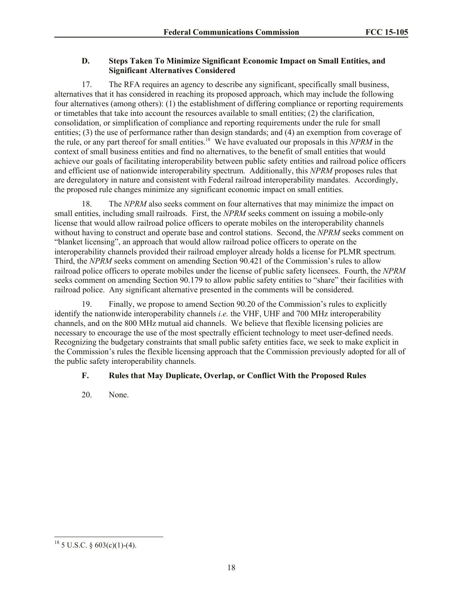# **D. Steps Taken To Minimize Significant Economic Impact on Small Entities, and Significant Alternatives Considered**

17. The RFA requires an agency to describe any significant, specifically small business, alternatives that it has considered in reaching its proposed approach, which may include the following four alternatives (among others): (1) the establishment of differing compliance or reporting requirements or timetables that take into account the resources available to small entities; (2) the clarification, consolidation, or simplification of compliance and reporting requirements under the rule for small entities; (3) the use of performance rather than design standards; and (4) an exemption from coverage of the rule, or any part thereof for small entities.<sup>18</sup> We have evaluated our proposals in this *NPRM* in the context of small business entities and find no alternatives, to the benefit of small entities that would achieve our goals of facilitating interoperability between public safety entities and railroad police officers and efficient use of nationwide interoperability spectrum. Additionally, this *NPRM* proposes rules that are deregulatory in nature and consistent with Federal railroad interoperability mandates. Accordingly, the proposed rule changes minimize any significant economic impact on small entities.

18. The *NPRM* also seeks comment on four alternatives that may minimize the impact on small entities, including small railroads. First, the *NPRM* seeks comment on issuing a mobile-only license that would allow railroad police officers to operate mobiles on the interoperability channels without having to construct and operate base and control stations. Second, the *NPRM* seeks comment on "blanket licensing", an approach that would allow railroad police officers to operate on the interoperability channels provided their railroad employer already holds a license for PLMR spectrum. Third, the *NPRM* seeks comment on amending Section 90.421 of the Commission's rules to allow railroad police officers to operate mobiles under the license of public safety licensees. Fourth, the *NPRM* seeks comment on amending Section 90.179 to allow public safety entities to "share" their facilities with railroad police. Any significant alternative presented in the comments will be considered.

19. Finally, we propose to amend Section 90.20 of the Commission's rules to explicitly identify the nationwide interoperability channels *i.e.* the VHF, UHF and 700 MHz interoperability channels, and on the 800 MHz mutual aid channels. We believe that flexible licensing policies are necessary to encourage the use of the most spectrally efficient technology to meet user-defined needs. Recognizing the budgetary constraints that small public safety entities face, we seek to make explicit in the Commission's rules the flexible licensing approach that the Commission previously adopted for all of the public safety interoperability channels.

# **F. Rules that May Duplicate, Overlap, or Conflict With the Proposed Rules**

20. None.

l  $18$  5 U.S.C. § 603(c)(1)-(4).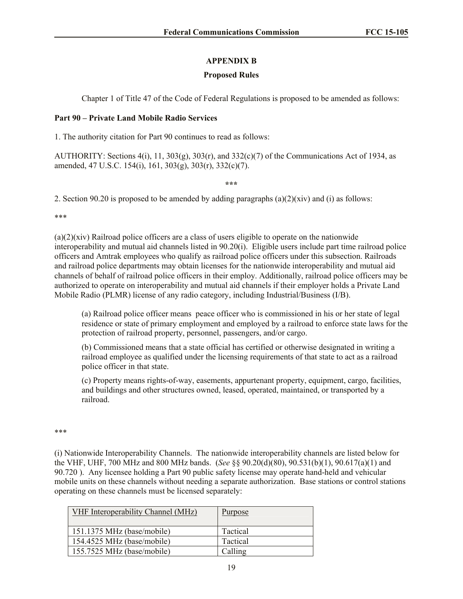# **APPENDIX B**

#### **Proposed Rules**

Chapter 1 of Title 47 of the Code of Federal Regulations is proposed to be amended as follows:

#### **Part 90 – Private Land Mobile Radio Services**

1. The authority citation for Part 90 continues to read as follows:

AUTHORITY: Sections 4(i), 11, 303(g), 303(r), and 332(c)(7) of the Communications Act of 1934, as amended, 47 U.S.C. 154(i), 161, 303(g), 303(r), 332(c)(7).

**\*\*\***

2. Section 90.20 is proposed to be amended by adding paragraphs  $(a)(2)(xiv)$  and (i) as follows:

\*\*\*

 $(a)(2)(xiv)$  Railroad police officers are a class of users eligible to operate on the nationwide interoperability and mutual aid channels listed in 90.20(i). Eligible users include part time railroad police officers and Amtrak employees who qualify as railroad police officers under this subsection. Railroads and railroad police departments may obtain licenses for the nationwide interoperability and mutual aid channels of behalf of railroad police officers in their employ. Additionally, railroad police officers may be authorized to operate on interoperability and mutual aid channels if their employer holds a Private Land Mobile Radio (PLMR) license of any radio category, including Industrial/Business (I/B).

(a) Railroad police officer means peace officer who is commissioned in his or her state of legal residence or state of primary employment and employed by a railroad to enforce state laws for the protection of railroad property, personnel, passengers, and/or cargo.

(b) Commissioned means that a state official has certified or otherwise designated in writing a railroad employee as qualified under the licensing requirements of that state to act as a railroad police officer in that state.

(c) Property means rights-of-way, easements, appurtenant property, equipment, cargo, facilities, and buildings and other structures owned, leased, operated, maintained, or transported by a railroad.

#### \*\*\*

(i) Nationwide Interoperability Channels. The nationwide interoperability channels are listed below for the VHF, UHF, 700 MHz and 800 MHz bands. (*See* §§ 90.20(d)(80), 90.531(b)(1), 90.617(a)(1) and 90.720 ). Any licensee holding a Part 90 public safety license may operate hand-held and vehicular mobile units on these channels without needing a separate authorization. Base stations or control stations operating on these channels must be licensed separately:

| VHF Interoperability Channel (MHz)   | <b>Purpose</b> |
|--------------------------------------|----------------|
| $151.1375 \text{ MHz}$ (base/mobile) | Tactical       |
| 154.4525 MHz (base/mobile)           | Tactical       |
| 155.7525 MHz (base/mobile)           | Calling        |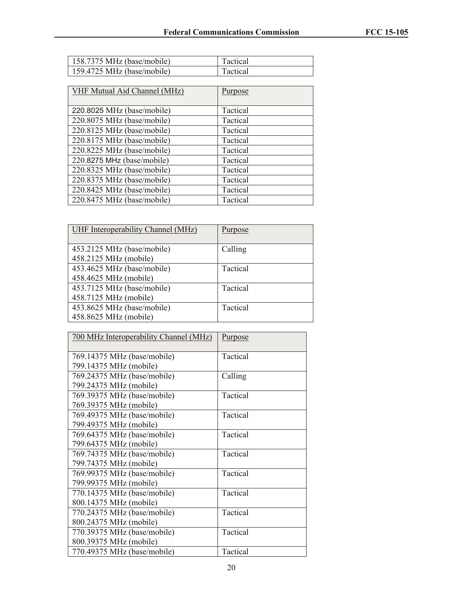| 158.7375 MHz (base/mobile) | Tactical |
|----------------------------|----------|
| 159.4725 MHz (base/mobile) | Tactical |

| <b>VHF Mutual Aid Channel (MHz)</b> | <u>Purpose</u> |
|-------------------------------------|----------------|
| 220.8025 MHz (base/mobile)          | Tactical       |
| 220.8075 MHz (base/mobile)          | Tactical       |
| 220.8125 MHz (base/mobile)          | Tactical       |
| 220.8175 MHz (base/mobile)          | Tactical       |
| 220.8225 MHz (base/mobile)          | Tactical       |
| 220.8275 MHz (base/mobile)          | Tactical       |
| 220.8325 MHz (base/mobile)          | Tactical       |
| 220.8375 MHz (base/mobile)          | Tactical       |
| 220.8425 MHz (base/mobile)          | Tactical       |
| 220.8475 MHz (base/mobile)          | Tactical       |

| UHF Interoperability Channel (MHz)                  | Purpose  |
|-----------------------------------------------------|----------|
| 453.2125 MHz (base/mobile)<br>458.2125 MHz (mobile) | Calling  |
| 453.4625 MHz (base/mobile)<br>458.4625 MHz (mobile) | Tactical |
| 453.7125 MHz (base/mobile)<br>458.7125 MHz (mobile) | Tactical |
| 453.8625 MHz (base/mobile)<br>458.8625 MHz (mobile) | Tactical |

| 700 MHz Interoperability Channel (MHz) | Purpose  |
|----------------------------------------|----------|
|                                        |          |
| 769.14375 MHz (base/mobile)            | Tactical |
| 799.14375 MHz (mobile)                 |          |
| 769.24375 MHz (base/mobile)            | Calling  |
| 799.24375 MHz (mobile)                 |          |
| 769.39375 MHz (base/mobile)            | Tactical |
| 769.39375 MHz (mobile)                 |          |
| 769.49375 MHz (base/mobile)            | Tactical |
| 799.49375 MHz (mobile)                 |          |
| 769.64375 MHz (base/mobile)            | Tactical |
| 799.64375 MHz (mobile)                 |          |
| 769.74375 MHz (base/mobile)            | Tactical |
| 799.74375 MHz (mobile)                 |          |
| 769.99375 MHz (base/mobile)            | Tactical |
| 799.99375 MHz (mobile)                 |          |
| 770.14375 MHz (base/mobile)            | Tactical |
| 800.14375 MHz (mobile)                 |          |
| 770.24375 MHz (base/mobile)            | Tactical |
| 800.24375 MHz (mobile)                 |          |
| 770.39375 MHz (base/mobile)            | Tactical |
| 800.39375 MHz (mobile)                 |          |
| 770.49375 MHz (base/mobile)            | Tactical |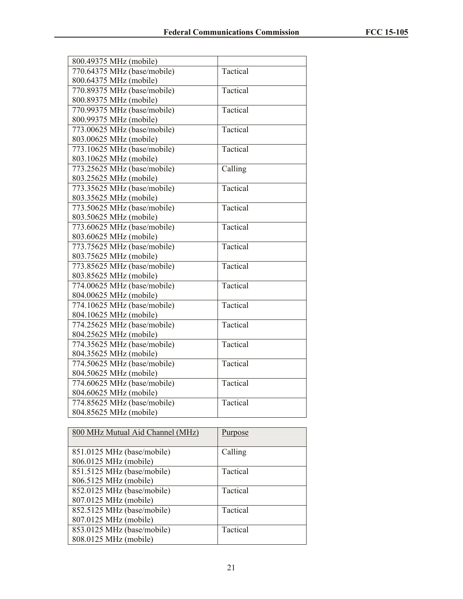| 800.49375 MHz (mobile)      |          |
|-----------------------------|----------|
| 770.64375 MHz (base/mobile) | Tactical |
| 800.64375 MHz (mobile)      |          |
| 770.89375 MHz (base/mobile) | Tactical |
| 800.89375 MHz (mobile)      |          |
| 770.99375 MHz (base/mobile) | Tactical |
| 800.99375 MHz (mobile)      |          |
| 773.00625 MHz (base/mobile) | Tactical |
| 803.00625 MHz (mobile)      |          |
| 773.10625 MHz (base/mobile) | Tactical |
| 803.10625 MHz (mobile)      |          |
| 773.25625 MHz (base/mobile) | Calling  |
| 803.25625 MHz (mobile)      |          |
| 773.35625 MHz (base/mobile) | Tactical |
| 803.35625 MHz (mobile)      |          |
| 773.50625 MHz (base/mobile) | Tactical |
| 803.50625 MHz (mobile)      |          |
| 773.60625 MHz (base/mobile) | Tactical |
| 803.60625 MHz (mobile)      |          |
| 773.75625 MHz (base/mobile) | Tactical |
| 803.75625 MHz (mobile)      |          |
| 773.85625 MHz (base/mobile) | Tactical |
| 803.85625 MHz (mobile)      |          |
| 774.00625 MHz (base/mobile) | Tactical |
| 804.00625 MHz (mobile)      |          |
| 774.10625 MHz (base/mobile) | Tactical |
| 804.10625 MHz (mobile)      |          |
| 774.25625 MHz (base/mobile) | Tactical |
| 804.25625 MHz (mobile)      |          |
| 774.35625 MHz (base/mobile) | Tactical |
| 804.35625 MHz (mobile)      |          |
| 774.50625 MHz (base/mobile) | Tactical |
| 804.50625 MHz (mobile)      |          |
| 774.60625 MHz (base/mobile) | Tactical |
| 804.60625 MHz (mobile)      |          |
| 774.85625 MHz (base/mobile) | Tactical |
| 804.85625 MHz (mobile)      |          |

| 800 MHz Mutual Aid Channel (MHz) | Purpose  |
|----------------------------------|----------|
|                                  |          |
| 851.0125 MHz (base/mobile)       | Calling  |
| 806.0125 MHz (mobile)            |          |
| 851.5125 MHz (base/mobile)       | Tactical |
| 806.5125 MHz (mobile)            |          |
| 852.0125 MHz (base/mobile)       | Tactical |
| 807.0125 MHz (mobile)            |          |
| 852.5125 MHz (base/mobile)       | Tactical |
| 807.0125 MHz (mobile)            |          |
| 853.0125 MHz (base/mobile)       | Tactical |
| 808.0125 MHz (mobile)            |          |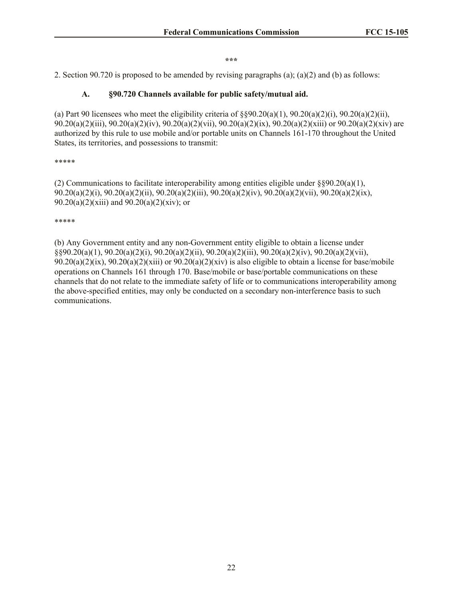#### **\*\*\***

2. Section 90.720 is proposed to be amended by revising paragraphs (a); (a)(2) and (b) as follows:

#### **A. §90.720 Channels available for public safety/mutual aid.**

(a) Part 90 licensees who meet the eligibility criteria of  $\S$ §90.20(a)(1), 90.20(a)(2)(i), 90.20(a)(2)(ii), 90.20(a)(2)(iii), 90.20(a)(2)(iv), 90.20(a)(2)(vii), 90.20(a)(2)(ix), 90.20(a)(2)(xiii) or 90.20(a)(2)(xiv) are authorized by this rule to use mobile and/or portable units on Channels 161-170 throughout the United States, its territories, and possessions to transmit:

#### \*\*\*\*\*

(2) Communications to facilitate interoperability among entities eligible under  $\S$ §90.20(a)(1), 90.20(a)(2)(i), 90.20(a)(2)(ii), 90.20(a)(2)(iii), 90.20(a)(2)(iv), 90.20(a)(2)(vii), 90.20(a)(2)(ix), 90.20(a)(2)(xiii) and  $90.20(a)(2)(xiv)$ ; or

\*\*\*\*\*

(b) Any Government entity and any non-Government entity eligible to obtain a license under §§90.20(a)(1), 90.20(a)(2)(i), 90.20(a)(2)(ii), 90.20(a)(2)(iii), 90.20(a)(2)(iv), 90.20(a)(2)(vii),  $90.20(a)(2)(ix)$ ,  $90.20(a)(2)(xiii)$  or  $90.20(a)(2)(xiv)$  is also eligible to obtain a license for base/mobile operations on Channels 161 through 170. Base/mobile or base/portable communications on these channels that do not relate to the immediate safety of life or to communications interoperability among the above-specified entities, may only be conducted on a secondary non-interference basis to such communications.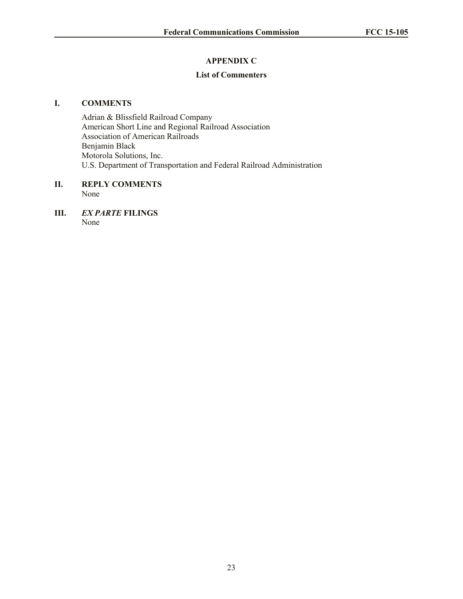# **APPENDIX C**

# **List of Commenters**

## **I. COMMENTS**

Adrian & Blissfield Railroad Company American Short Line and Regional Railroad Association Association of American Railroads Benjamin Black Motorola Solutions, Inc. U.S. Department of Transportation and Federal Railroad Administration

#### **II. REPLY COMMENTS** None

**III.** *EX PARTE* **FILINGS** None